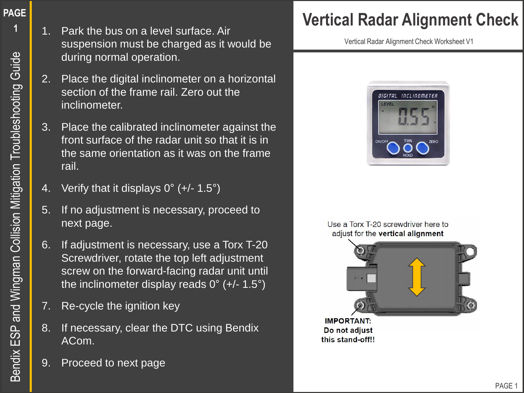- 1. Park the bus on a level surface. Air suspension must be charged as it would be during normal operation.
- 2. Place the digital inclinometer on a horizontal section of the frame rail. Zero out the inclinometer.
- 3. Place the calibrated inclinometer against the front surface of the radar unit so that it is in the same orientation as it was on the frame rail.
- 4. Verify that it displays  $0^{\circ}$  (+/- 1.5°)
- 5. If no adjustment is necessary, proceed to next page.
- 6. If adjustment is necessary, use a Torx T-20 Screwdriver, rotate the top left adjustment screw on the forward-facing radar unit until the inclinometer display reads 0° (+/- 1.5°)
- 7. Re-cycle the ignition key
- 8. If necessary, clear the DTC using Bendix ACom.
- 9. Proceed to next page

# **Vertical Radar Alignment Check**

Vertical Radar Alignment Check Worksheet V1



#### Use a Torx T-20 screwdriver here to adjust for the vertical alignment



**IMPORTANT:** Do not adjust this stand-off!!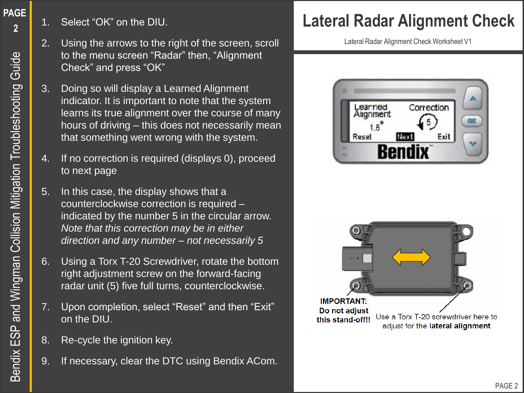**PAGE** 

- 2. Using the arrows to the right of the screen, scroll to the menu screen "Radar" then, "Alignment Check" and press "OK"
- 3. Doing so will display a Learned Alignment indicator. It is important to note that the system learns its true alignment over the course of many hours of driving – this does not necessarily mean that something went wrong with the system.
- 4. If no correction is required (displays 0), proceed to next page
- 5. In this case, the display shows that a counterclockwise correction is required – indicated by the number 5 in the circular arrow. *Note that this correction may be in either direction and any number – not necessarily 5*
- 6. Using a Torx T-20 Screwdriver, rotate the bottom right adjustment screw on the forward-facing radar unit (5) five full turns, counterclockwise.
- 7. Upon completion, select "Reset" and then "Exit" on the DIU.
- 8. Re-cycle the ignition key.
- 9. If necessary, clear the DTC using Bendix ACom.

# 1. Select "OK" on the DIU. **Lateral Radar Alignment Check**

Lateral Radar Alignment Check Worksheet V1



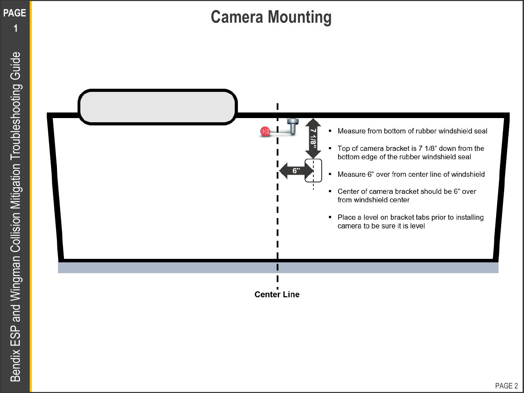

**PAGE**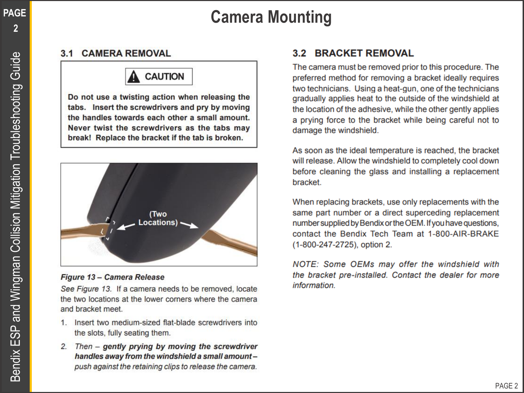# **Camera Mounting**

**PAGE** 

### **3.1 CAMERA REMOVAL**

## **CAUTION**

Do not use a twisting action when releasing the tabs. Insert the screwdrivers and pry by moving the handles towards each other a small amount. Never twist the screwdrivers as the tabs may break! Replace the bracket if the tab is broken.



#### Figure 13 - Camera Release

See Figure 13. If a camera needs to be removed, locate the two locations at the lower corners where the camera and bracket meet.

- 1. Insert two medium-sized flat-blade screwdrivers into the slots, fully seating them.
- 2. Then gently prying by moving the screwdriver handles away from the windshield a small amountpush against the retaining clips to release the camera.

## **3.2 BRACKET REMOVAL**

The camera must be removed prior to this procedure. The preferred method for removing a bracket ideally requires two technicians. Using a heat-gun, one of the technicians gradually applies heat to the outside of the windshield at the location of the adhesive, while the other gently applies a prying force to the bracket while being careful not to damage the windshield.

As soon as the ideal temperature is reached, the bracket will release. Allow the windshield to completely cool down before cleaning the glass and installing a replacement bracket.

When replacing brackets, use only replacements with the same part number or a direct superceding replacement number supplied by Bendix or the OEM. If you have questions, contact the Bendix Tech Team at 1-800-AIR-BRAKE (1-800-247-2725), option 2.

NOTE: Some OEMs may offer the windshield with the bracket pre-installed. Contact the dealer for more information.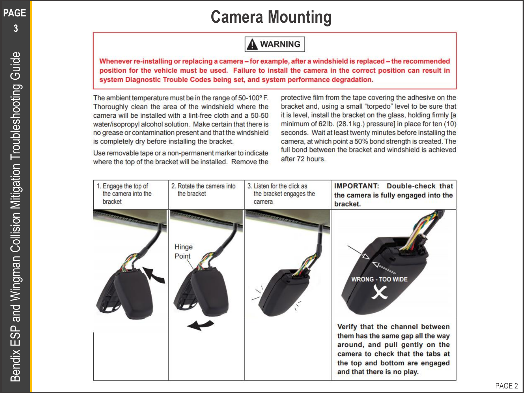**PAGE** 

**3**

# **Camera Mounting**

## **A WARNING**

Whenever re-installing or replacing a camera – for example, after a windshield is replaced – the recommended position for the vehicle must be used. Failure to install the camera in the correct position can result in system Diagnostic Trouble Codes being set, and system performance degradation.

The ambient temperature must be in the range of 50-100°F. Thoroughly clean the area of the windshield where the camera will be installed with a lint-free cloth and a 50-50 water/isopropyl alcohol solution. Make certain that there is no grease or contamination present and that the windshield is completely dry before installing the bracket.

Use removable tape or a non-permanent marker to indicate where the top of the bracket will be installed. Remove the

protective film from the tape covering the adhesive on the bracket and, using a small "torpedo" level to be sure that it is level, install the bracket on the glass, holding firmly [a minimum of 62lb. (28.1 kg.) pressure] in place for ten (10) seconds. Wait at least twenty minutes before installing the camera, at which point a 50% bond strength is created. The full bond between the bracket and windshield is achieved after 72 hours.